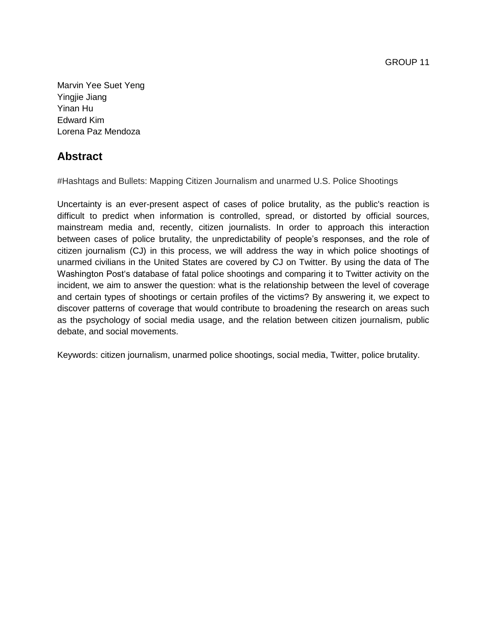GROUP 11

Marvin Yee Suet Yeng Yingjie Jiang Yinan Hu Edward Kim Lorena Paz Mendoza

# **Abstract**

#Hashtags and Bullets: Mapping Citizen Journalism and unarmed U.S. Police Shootings

Uncertainty is an ever-present aspect of cases of police brutality, as the public's reaction is difficult to predict when information is controlled, spread, or distorted by official sources, mainstream media and, recently, citizen journalists. In order to approach this interaction between cases of police brutality, the unpredictability of people's responses, and the role of citizen journalism (CJ) in this process, we will address the way in which police shootings of unarmed civilians in the United States are covered by CJ on Twitter. By using the data of The Washington Post's database of fatal police shootings and comparing it to Twitter activity on the incident, we aim to answer the question: what is the relationship between the level of coverage and certain types of shootings or certain profiles of the victims? By answering it, we expect to discover patterns of coverage that would contribute to broadening the research on areas such as the psychology of social media usage, and the relation between citizen journalism, public debate, and social movements.

Keywords: citizen journalism, unarmed police shootings, social media, Twitter, police brutality.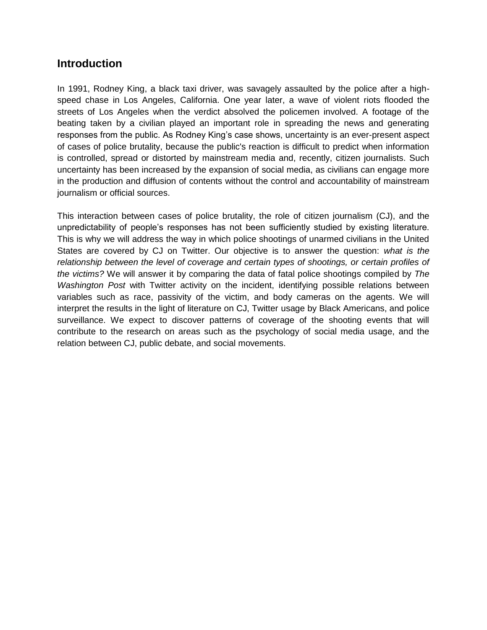## **Introduction**

In 1991, Rodney King, a black taxi driver, was savagely assaulted by the police after a highspeed chase in Los Angeles, California. One year later, a wave of violent riots flooded the streets of Los Angeles when the verdict absolved the policemen involved. A footage of the beating taken by a civilian played an important role in spreading the news and generating responses from the public. As Rodney King's case shows, uncertainty is an ever-present aspect of cases of police brutality, because the public's reaction is difficult to predict when information is controlled, spread or distorted by mainstream media and, recently, citizen journalists. Such uncertainty has been increased by the expansion of social media, as civilians can engage more in the production and diffusion of contents without the control and accountability of mainstream journalism or official sources.

This interaction between cases of police brutality, the role of citizen journalism (CJ), and the unpredictability of people's responses has not been sufficiently studied by existing literature. This is why we will address the way in which police shootings of unarmed civilians in the United States are covered by CJ on Twitter. Our objective is to answer the question: *what is the relationship between the level of coverage and certain types of shootings, or certain profiles of the victims?* We will answer it by comparing the data of fatal police shootings compiled by *The Washington Post* with Twitter activity on the incident, identifying possible relations between variables such as race, passivity of the victim, and body cameras on the agents. We will interpret the results in the light of literature on CJ, Twitter usage by Black Americans, and police surveillance. We expect to discover patterns of coverage of the shooting events that will contribute to the research on areas such as the psychology of social media usage, and the relation between CJ, public debate, and social movements.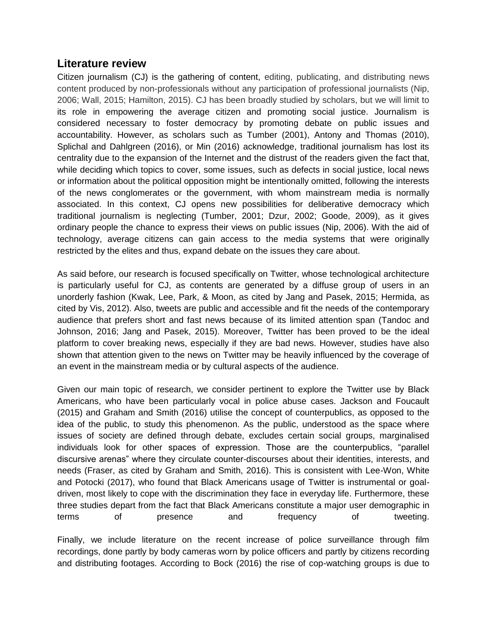## **Literature review**

Citizen journalism (CJ) is the gathering of content, editing, publicating, and distributing news content produced by non-professionals without any participation of professional journalists (Nip, 2006; Wall, 2015; Hamilton, 2015). CJ has been broadly studied by scholars, but we will limit to its role in empowering the average citizen and promoting social justice. Journalism is considered necessary to foster democracy by promoting debate on public issues and accountability. However, as scholars such as Tumber (2001), Antony and Thomas (2010), Splichal and Dahlgreen (2016), or Min (2016) acknowledge, traditional journalism has lost its centrality due to the expansion of the Internet and the distrust of the readers given the fact that, while deciding which topics to cover, some issues, such as defects in social justice, local news or information about the political opposition might be intentionally omitted, following the interests of the news conglomerates or the government, with whom mainstream media is normally associated. In this context, CJ opens new possibilities for deliberative democracy which traditional journalism is neglecting (Tumber, 2001; Dzur, 2002; Goode, 2009), as it gives ordinary people the chance to express their views on public issues (Nip, 2006). With the aid of technology, average citizens can gain access to the media systems that were originally restricted by the elites and thus, expand debate on the issues they care about.

As said before, our research is focused specifically on Twitter, whose technological architecture is particularly useful for CJ, as contents are generated by a diffuse group of users in an unorderly fashion (Kwak, Lee, Park, & Moon, as cited by Jang and Pasek, 2015; Hermida, as cited by Vis, 2012). Also, tweets are public and accessible and fit the needs of the contemporary audience that prefers short and fast news because of its limited attention span (Tandoc and Johnson, 2016; Jang and Pasek, 2015). Moreover, Twitter has been proved to be the ideal platform to cover breaking news, especially if they are bad news. However, studies have also shown that attention given to the news on Twitter may be heavily influenced by the coverage of an event in the mainstream media or by cultural aspects of the audience.

Given our main topic of research, we consider pertinent to explore the Twitter use by Black Americans, who have been particularly vocal in police abuse cases. Jackson and Foucault (2015) and Graham and Smith (2016) utilise the concept of counterpublics, as opposed to the idea of the public, to study this phenomenon. As the public, understood as the space where issues of society are defined through debate, excludes certain social groups, marginalised individuals look for other spaces of expression. Those are the counterpublics, "parallel discursive arenas" where they circulate counter-discourses about their identities, interests, and needs (Fraser, as cited by Graham and Smith, 2016). This is consistent with Lee-Won, White and Potocki (2017), who found that Black Americans usage of Twitter is instrumental or goaldriven, most likely to cope with the discrimination they face in everyday life. Furthermore, these three studies depart from the fact that Black Americans constitute a major user demographic in terms of presence and frequency of tweeting.

Finally, we include literature on the recent increase of police surveillance through film recordings, done partly by body cameras worn by police officers and partly by citizens recording and distributing footages. According to Bock (2016) the rise of cop-watching groups is due to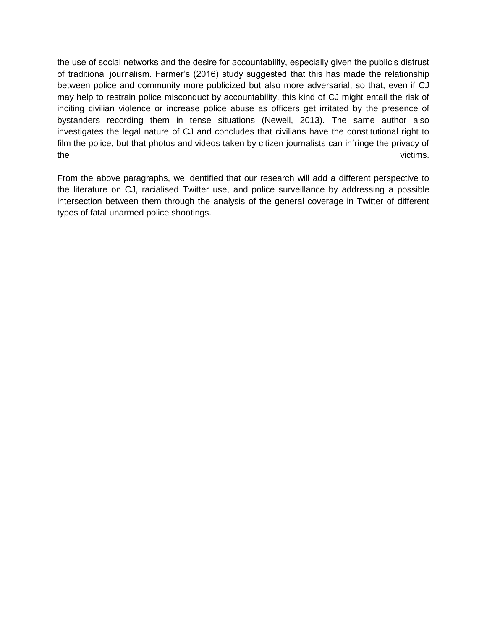the use of social networks and the desire for accountability, especially given the public's distrust of traditional journalism. Farmer's (2016) study suggested that this has made the relationship between police and community more publicized but also more adversarial, so that, even if CJ may help to restrain police misconduct by accountability, this kind of CJ might entail the risk of inciting civilian violence or increase police abuse as officers get irritated by the presence of bystanders recording them in tense situations (Newell, 2013). The same author also investigates the legal nature of CJ and concludes that civilians have the constitutional right to film the police, but that photos and videos taken by citizen journalists can infringe the privacy of the victims.

From the above paragraphs, we identified that our research will add a different perspective to the literature on CJ, racialised Twitter use, and police surveillance by addressing a possible intersection between them through the analysis of the general coverage in Twitter of different types of fatal unarmed police shootings.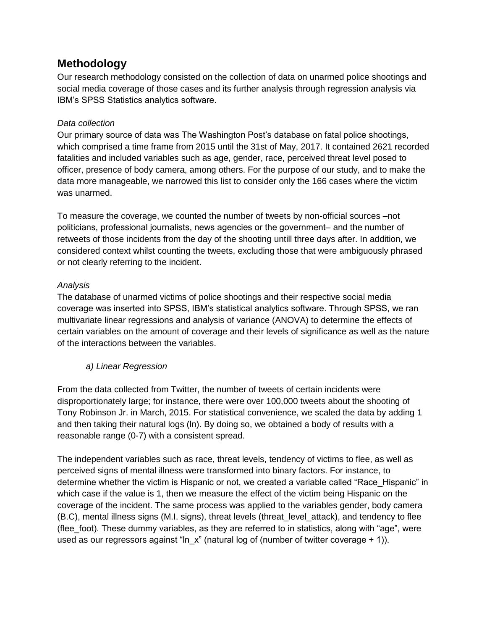# **Methodology**

Our research methodology consisted on the collection of data on unarmed police shootings and social media coverage of those cases and its further analysis through regression analysis via IBM's SPSS Statistics analytics software.

### *Data collection*

Our primary source of data was The Washington Post's database on fatal police shootings, which comprised a time frame from 2015 until the 31st of May, 2017. It contained 2621 recorded fatalities and included variables such as age, gender, race, perceived threat level posed to officer, presence of body camera, among others. For the purpose of our study, and to make the data more manageable, we narrowed this list to consider only the 166 cases where the victim was unarmed.

To measure the coverage, we counted the number of tweets by non-official sources  $-$ not politicians, professional journalists, news agencies or the government- and the number of retweets of those incidents from the day of the shooting untill three days after. In addition, we considered context whilst counting the tweets, excluding those that were ambiguously phrased or not clearly referring to the incident.

### *Analysis*

The database of unarmed victims of police shootings and their respective social media coverage was inserted into SPSS, IBM's statistical analytics software. Through SPSS, we ran multivariate linear regressions and analysis of variance (ANOVA) to determine the effects of certain variables on the amount of coverage and their levels of significance as well as the nature of the interactions between the variables.

### *a) Linear Regression*

From the data collected from Twitter, the number of tweets of certain incidents were disproportionately large; for instance, there were over 100,000 tweets about the shooting of Tony Robinson Jr. in March, 2015. For statistical convenience, we scaled the data by adding 1 and then taking their natural logs (ln). By doing so, we obtained a body of results with a reasonable range (0-7) with a consistent spread.

The independent variables such as race, threat levels, tendency of victims to flee, as well as perceived signs of mental illness were transformed into binary factors. For instance, to determine whether the victim is Hispanic or not, we created a variable called "Race\_Hispanic" in which case if the value is 1, then we measure the effect of the victim being Hispanic on the coverage of the incident. The same process was applied to the variables gender, body camera (B.C), mental illness signs (M.I. signs), threat levels (threat\_level\_attack), and tendency to flee (flee foot). These dummy variables, as they are referred to in statistics, along with "age", were used as our regressors against "ln\_x" (natural log of (number of twitter coverage + 1)).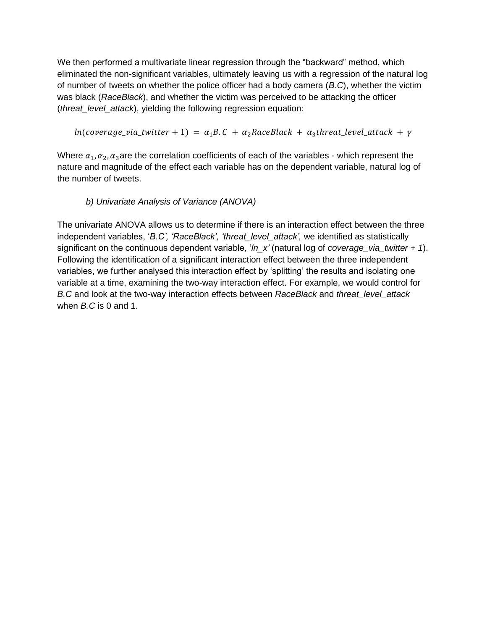We then performed a multivariate linear regression through the "backward" method, which eliminated the non-significant variables, ultimately leaving us with a regression of the natural log of number of tweets on whether the police officer had a body camera (*B.C*), whether the victim was black (*RaceBlack*), and whether the victim was perceived to be attacking the officer (*threat\_level\_attack*), yielding the following regression equation:

 $ln(coverage\_via\_twitter + 1) = \alpha_1 B.C + \alpha_2 RaceBlack + \alpha_3 threat\_level\_attack + \gamma$ 

Where  $\alpha_1, \alpha_2, \alpha_3$  are the correlation coefficients of each of the variables - which represent the nature and magnitude of the effect each variable has on the dependent variable, natural log of the number of tweets.

### *b) Univariate Analysis of Variance (ANOVA)*

The univariate ANOVA allows us to determine if there is an interaction effect between the three independent variables, '*B.C', 'RaceBlack', 'threat\_level\_attack',* we identified as statistically significant on the continuous dependent variable, '*ln\_x'* (natural log of *coverage\_via\_twitter + 1*). Following the identification of a significant interaction effect between the three independent variables, we further analysed this interaction effect by 'splitting' the results and isolating one variable at a time, examining the two-way interaction effect. For example, we would control for *B.C* and look at the two-way interaction effects between *RaceBlack* and *threat\_level\_attack*  when *B.C* is 0 and 1.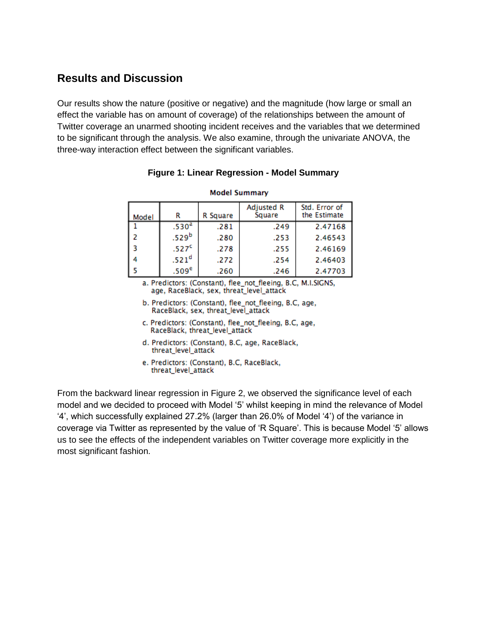# **Results and Discussion**

Our results show the nature (positive or negative) and the magnitude (how large or small an effect the variable has on amount of coverage) of the relationships between the amount of Twitter coverage an unarmed shooting incident receives and the variables that we determined to be significant through the analysis. We also examine, through the univariate ANOVA, the three-way interaction effect between the significant variables.

| <b>Model Summary</b> |                   |          |                      |                               |  |  |  |
|----------------------|-------------------|----------|----------------------|-------------------------------|--|--|--|
| Model                | R                 | R Square | Adjusted R<br>Square | Std. Error of<br>the Estimate |  |  |  |
|                      | .530 <sup>a</sup> | .281     | .249                 | 2.47168                       |  |  |  |
| -2                   | .529 <sup>b</sup> | .280     | .253                 | 2.46543                       |  |  |  |
| - 3                  | .527 <sup>c</sup> | .278     | .255                 | 2.46169                       |  |  |  |
| 4                    | .521 <sup>d</sup> | .272     | .254                 | 2.46403                       |  |  |  |
| -5                   | .509 <sup>e</sup> | .260     | .246                 | 2.47703                       |  |  |  |

### **Figure 1: Linear Regression - Model Summary**

- a. Predictors: (Constant), flee\_not\_fleeing, B.C, M.I.SIGNS, age, RaceBlack, sex, threat\_level\_attack
- b. Predictors: (Constant), flee\_not\_fleeing, B.C, age, RaceBlack, sex, threat level attack
- c. Predictors: (Constant), flee\_not\_fleeing, B.C, age, RaceBlack, threat\_level\_attack
- d. Predictors: (Constant), B.C, age, RaceBlack, threat\_level\_attack
- e. Predictors: (Constant), B.C, RaceBlack, threat\_level\_attack

From the backward linear regression in Figure 2, we observed the significance level of each model and we decided to proceed with Model '5' whilst keeping in mind the relevance of Model '4', which successfully explained 27.2% (larger than 26.0% of Model '4') of the variance in coverage via Twitter as represented by the value of 'R Square'. This is because Model '5' allows us to see the effects of the independent variables on Twitter coverage more explicitly in the most significant fashion.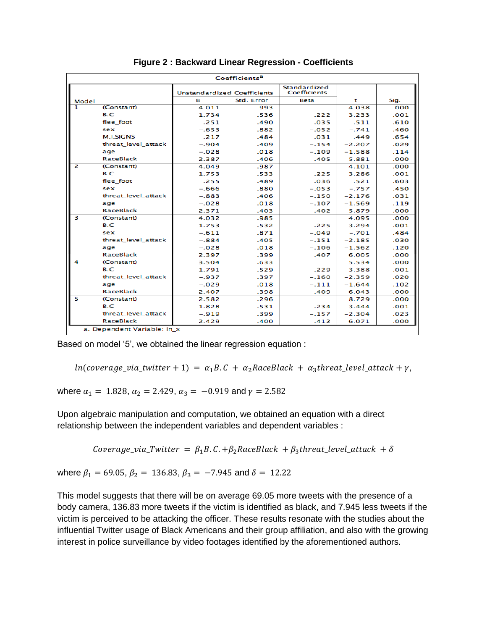| Coefficients <sup>a</sup> |                             |                                    |      |                              |          |      |  |  |
|---------------------------|-----------------------------|------------------------------------|------|------------------------------|----------|------|--|--|
|                           |                             | <b>Unstandardized Coefficients</b> |      | Standardized<br>Coefficients |          |      |  |  |
| Model                     |                             | в<br>Std. Error                    |      | <b>Beta</b>                  | t        | Sig. |  |  |
| 1                         | (Constant)                  | 4.011                              | .993 |                              | 4.038    | .000 |  |  |
|                           | B.C                         | 1.734                              | .536 | .222                         | 3.233    | .001 |  |  |
|                           | flee foot                   | .251                               | .490 | .035                         | .511     | .610 |  |  |
|                           | sex                         | $-.653$                            | .882 | $-.052$                      | $-.741$  | .460 |  |  |
|                           | <b>M.I.SIGNS</b>            | .217                               | .484 | .031                         | .449     | .654 |  |  |
|                           | threat_level_attack         | $-.904$                            | .409 | $-.154$                      | $-2.207$ | .029 |  |  |
|                           | age                         | $-.028$                            | .018 | $-.109$                      | $-1.588$ | .114 |  |  |
|                           | <b>RaceBlack</b>            | 2.387                              | .406 | .405                         | 5.881    | .000 |  |  |
| $\overline{2}$            | (Constant)                  | 4.049                              | .987 |                              | 4.101    | .000 |  |  |
|                           | B.C                         | 1.753                              | .533 | .225                         | 3.286    | .001 |  |  |
|                           | flee foot                   | .255                               | .489 | .036                         | .521     | .603 |  |  |
|                           | sex                         | $-.666$                            | .880 | $-.053$                      | $-.757$  | .450 |  |  |
|                           | threat level attack         | $-.883$                            | .406 | $-.150$                      | $-2.176$ | .031 |  |  |
|                           | age                         | $-.028$                            | .018 | $-.107$                      | $-1.569$ | .119 |  |  |
|                           | <b>RaceBlack</b>            | 2.371                              | .403 | .402                         | 5.879    | .000 |  |  |
| з                         | (Constant)                  | 4.032                              | .985 |                              | 4.095    | .000 |  |  |
|                           | B.C                         | 1.753                              | .532 | .225                         | 3.294    | .001 |  |  |
|                           | sex                         | $-.611$                            | .871 | $-.049$                      | $-.701$  | .484 |  |  |
|                           | threat_level_attack         | $-.884$                            | .405 | $-.151$                      | $-2.185$ | .030 |  |  |
|                           | age                         | $-.028$                            | .018 | $-.106$                      | $-1.562$ | .120 |  |  |
|                           | RaceBlack                   | 2.397                              | .399 | .407                         | 6.005    | .000 |  |  |
| 4                         | (Constant)                  | 3.504                              | .633 |                              | 5.534    | .000 |  |  |
|                           | B.C                         | 1.791                              | .529 | .229                         | 3.388    | .001 |  |  |
|                           | threat level attack         | $-.937$                            | .397 | $-.160$                      | $-2.359$ | .020 |  |  |
|                           | age                         | $-.029$                            | .018 | $-.111$                      | $-1.644$ | .102 |  |  |
|                           | <b>RaceBlack</b>            | 2.407                              | .398 | .409                         | 6.043    | .000 |  |  |
| 5                         | (Constant)                  | 2.582                              | .296 |                              | 8.729    | .000 |  |  |
|                           | B.C                         | 1.828                              | .531 | .234                         | 3.444    | .001 |  |  |
|                           | threat_level_attack         | $-.919$                            | .399 | $-.157$                      | $-2.304$ | .023 |  |  |
|                           | <b>RaceBlack</b>            | 2.429                              | .400 | .412                         | 6.071    | .000 |  |  |
|                           | a. Dependent Variable: In x |                                    |      |                              |          |      |  |  |

**Figure 2 : Backward Linear Regression - Coefficients**

Based on model '5', we obtained the linear regression equation :

 $ln(coverage\_via\_twitter + 1) = \alpha_1 B.C + \alpha_2 RaceBlack + \alpha_3 threat\_level\_attack + \gamma,$ 

where  $\alpha_1 = 1.828$ ,  $\alpha_2 = 2.429$ ,  $\alpha_3 = -0.919$  and  $\gamma = 2.582$ 

Upon algebraic manipulation and computation, we obtained an equation with a direct relationship between the independent variables and dependent variables :

Coverage\_via\_Twitter =  $\beta_1 B. C. + \beta_2 RaceBlack + \beta_3 threat\_level\_attack + \delta$ 

where  $\beta_1 = 69.05$ ,  $\beta_2 = 136.83$ ,  $\beta_3 = -7.945$  and  $\delta = 12.22$ 

This model suggests that there will be on average 69.05 more tweets with the presence of a body camera, 136.83 more tweets if the victim is identified as black, and 7.945 less tweets if the victim is perceived to be attacking the officer. These results resonate with the studies about the influential Twitter usage of Black Americans and their group affiliation, and also with the growing interest in police surveillance by video footages identified by the aforementioned authors.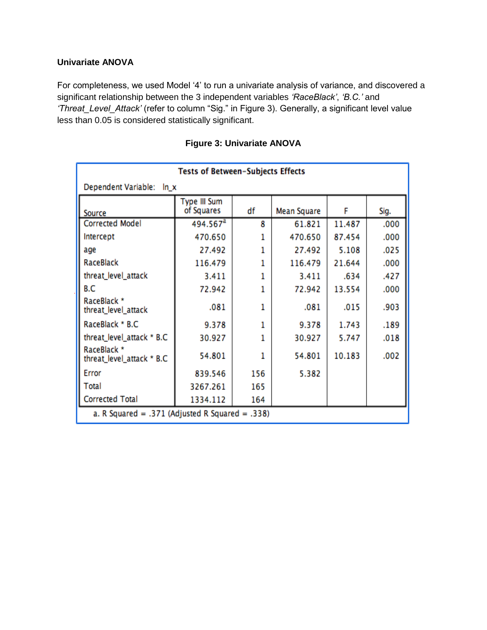### **Univariate ANOVA**

For completeness, we used Model '4' to run a univariate analysis of variance, and discovered a significant relationship between the 3 independent variables *'RaceBlack'*, *'B.C.'* and *'Threat\_Level\_Attack'* (refer to column "Sig." in Figure 3). Generally, a significant level value less than 0.05 is considered statistically significant.

| <b>Tests of Between-Subjects Effects</b>        |                            |     |             |        |      |  |  |  |
|-------------------------------------------------|----------------------------|-----|-------------|--------|------|--|--|--|
| Dependent Variable:<br>$ln_x$                   |                            |     |             |        |      |  |  |  |
| Source                                          | Type III Sum<br>of Squares | df  | Mean Square | F      | Sig. |  |  |  |
| <b>Corrected Model</b>                          | 494.567 <sup>a</sup>       | 8   | 61.821      | 11.487 | .000 |  |  |  |
| Intercept                                       | 470.650                    | 1   | 470.650     | 87.454 | .000 |  |  |  |
| age                                             | 27.492                     | 1   | 27.492      | 5.108  | .025 |  |  |  |
| RaceBlack                                       | 116.479                    | 1   | 116.479     | 21.644 | .000 |  |  |  |
| threat_level_attack                             | 3.411                      | 1   | 3.411       | .634   | .427 |  |  |  |
| B.C                                             | 72.942                     | 1   | 72.942      | 13.554 | .000 |  |  |  |
| RaceBlack *<br>threat_level_attack              | .081                       | 1   | .081        | .015   | .903 |  |  |  |
| RaceBlack * B.C                                 | 9.378                      | 1   | 9.378       | 1.743  | .189 |  |  |  |
| threat_level_attack * B.C                       | 30.927                     |     | 30.927      | 5.747  | .018 |  |  |  |
| RaceBlack *<br>threat_level_attack * B.C        | 54.801                     | 1   | 54.801      | 10.183 | .002 |  |  |  |
| Error                                           | 839.546                    | 156 | 5.382       |        |      |  |  |  |
| Total                                           | 3267.261                   | 165 |             |        |      |  |  |  |
| <b>Corrected Total</b>                          | 1334.112                   | 164 |             |        |      |  |  |  |
| a. R Squared = .371 (Adjusted R Squared = .338) |                            |     |             |        |      |  |  |  |

## **Figure 3: Univariate ANOVA**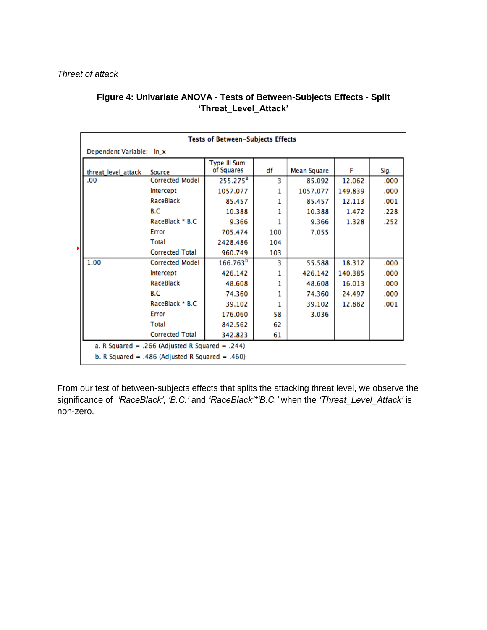| Tests of Between-Subjects Effects               |                        |                            |     |             |         |      |  |
|-------------------------------------------------|------------------------|----------------------------|-----|-------------|---------|------|--|
| Dependent Variable: In_x                        |                        |                            |     |             |         |      |  |
| threat_level_attack                             | Source                 | Type III Sum<br>of Squares | df  | Mean Square | F       | Sig. |  |
| .00                                             | <b>Corrected Model</b> | $255.275^a$                | з   | 85.092      | 12.062  | .000 |  |
|                                                 | Intercept              | 1057.077                   | 1   | 1057.077    | 149.839 | .000 |  |
|                                                 | RaceBlack              | 85.457                     | 1.  | 85.457      | 12.113  | .001 |  |
|                                                 | B.C                    | 10.388                     | 1   | 10.388      | 1.472   | .228 |  |
|                                                 | RaceBlack * B.C        | 9.366                      | 1.  | 9.366       | 1.328   | .252 |  |
|                                                 | Error                  | 705.474                    | 100 | 7.055       |         |      |  |
|                                                 | Total                  | 2428.486                   | 104 |             |         |      |  |
| Þ.                                              | <b>Corrected Total</b> | 960.749                    | 103 |             |         |      |  |
| 1.00                                            | <b>Corrected Model</b> | 166.763 <sup>b</sup>       | 3   | 55.588      | 18.312  | .000 |  |
|                                                 | Intercept              | 426.142                    | 1   | 426.142     | 140.385 | .000 |  |
|                                                 | RaceBlack              | 48.608                     | 1.  | 48.608      | 16.013  | .000 |  |
|                                                 | B.C                    | 74.360                     | 1   | 74.360      | 24.497  | .000 |  |
|                                                 | RaceBlack * B.C        | 39.102                     | 1   | 39.102      | 12.882  | .001 |  |
|                                                 | Error                  | 176.060                    | 58  | 3.036       |         |      |  |
|                                                 | Total                  | 842.562                    | 62  |             |         |      |  |
| <b>Corrected Total</b><br>342.823<br>61         |                        |                            |     |             |         |      |  |
| a. R Squared = .266 (Adjusted R Squared = .244) |                        |                            |     |             |         |      |  |
| b. R Squared = .486 (Adjusted R Squared = .460) |                        |                            |     |             |         |      |  |

## **Figure 4: Univariate ANOVA - Tests of Between-Subjects Effects - Split 'Threat\_Level\_Attack'**

From our test of between-subjects effects that splits the attacking threat level, we observe the significance of *'RaceBlack'*, *'B.C.'* and *'RaceBlack'\*'B.C.'* when the *'Threat\_Level\_Attack'* is non-zero.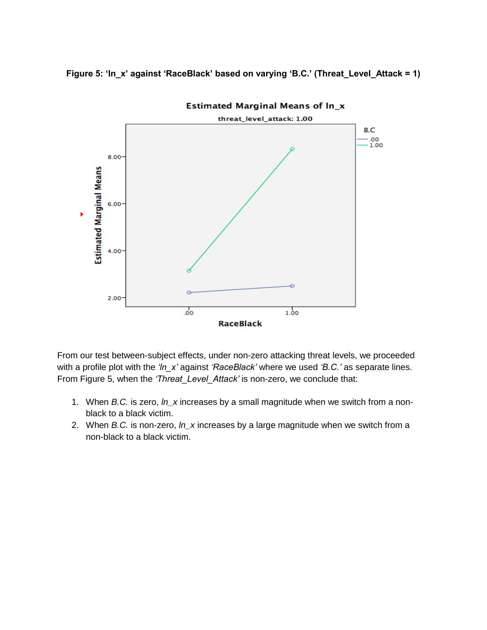



From our test between-subject effects, under non-zero attacking threat levels, we proceeded with a profile plot with the *'ln\_x'* against *'RaceBlack'* where we used *'B.C.'* as separate lines. From Figure 5, when the *'Threat\_Level\_Attack'* is non-zero, we conclude that:

- 1. When *B.C.* is zero, *ln\_x* increases by a small magnitude when we switch from a nonblack to a black victim.
- 2. When *B.C.* is non-zero, *ln\_x* increases by a large magnitude when we switch from a non-black to a black victim.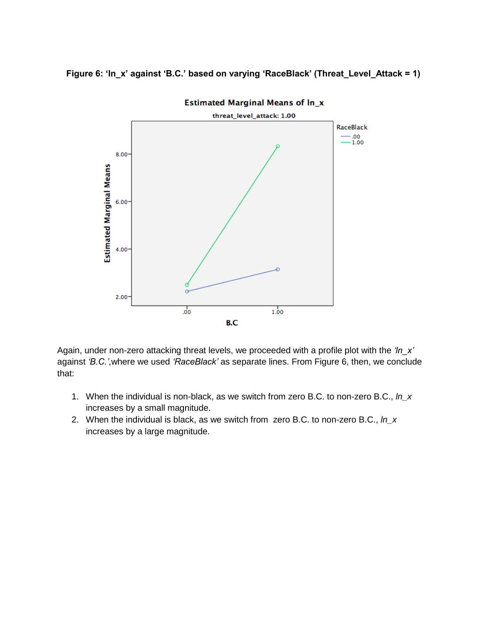



**Estimated Marginal Means of In\_x** 

Again, under non-zero attacking threat levels, we proceeded with a profile plot with the *'ln\_x'* against *'B.C.'*,where we used *'RaceBlack'* as separate lines. From Figure 6, then, we conclude that:

- 1. When the individual is non-black, as we switch from zero B.C. to non-zero B.C., *ln\_x* increases by a small magnitude.
- 2. When the individual is black, as we switch from zero B.C. to non-zero B.C., *ln\_x* increases by a large magnitude.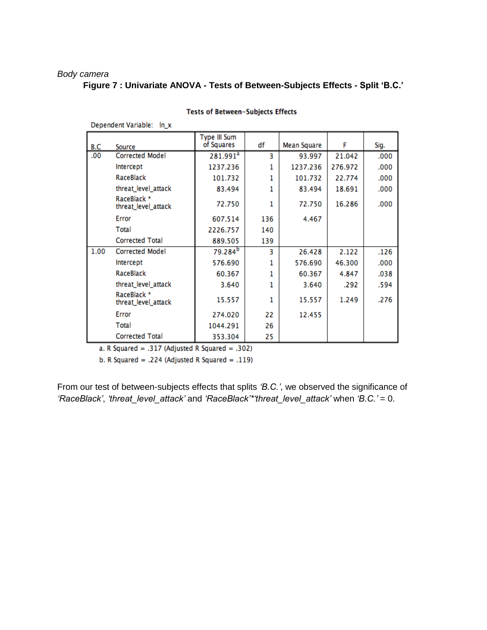#### *Body camera*

Denendent Variable: In x

### **Figure 7 : Univariate ANOVA - Tests of Between-Subjects Effects - Split 'B.C.'**

|      |                                    | Type III Sum         |     |             |         |      |
|------|------------------------------------|----------------------|-----|-------------|---------|------|
| B.C  | Source                             | of Squares           | df  | Mean Square | F       | Sig. |
| .00  | <b>Corrected Model</b>             | 281.991 <sup>a</sup> | 3   | 93.997      | 21.042  | .000 |
|      | Intercept                          | 1237.236             | 1   | 1237.236    | 276.972 | .000 |
|      | RaceBlack                          | 101.732              | 1   | 101.732     | 22.774  | .000 |
|      | threat_level_attack                | 83.494               | 1   | 83.494      | 18.691  | .000 |
|      | RaceBlack *<br>threat_level_attack | 72.750               | 1   | 72.750      | 16.286  | .000 |
|      | Error                              | 607.514              | 136 | 4.467       |         |      |
|      | Total                              | 2226.757             | 140 |             |         |      |
|      | <b>Corrected Total</b>             | 889.505              | 139 |             |         |      |
| 1.00 | <b>Corrected Model</b>             | 79.284 <sup>b</sup>  | 3   | 26.428      | 2.122   | .126 |
|      | Intercept                          | 576.690              | 1   | 576.690     | 46.300  | .000 |
|      | RaceBlack                          | 60.367               | 1   | 60.367      | 4.847   | .038 |
|      | threat_level_attack                | 3.640                | 1   | 3.640       | .292    | .594 |
|      | RaceBlack *<br>threat_level_attack | 15.557               | 1   | 15.557      | 1.249   | .276 |
|      | Error                              | 274.020              | 22  | 12.455      |         |      |
|      | Total                              | 1044.291             | 26  |             |         |      |
|      | <b>Corrected Total</b>             | 353.304              | 25  |             |         |      |

#### Tests of Between-Subjects Effects

a. R Squared = .317 (Adjusted R Squared = .302)

b. R Squared = .224 (Adjusted R Squared = .119)

From our test of between-subjects effects that splits *'B.C.'*, we observed the significance of *'RaceBlack'*, *'threat\_level\_attack'* and *'RaceBlack'\*'threat\_level\_attack'* when *'B.C.'* = 0.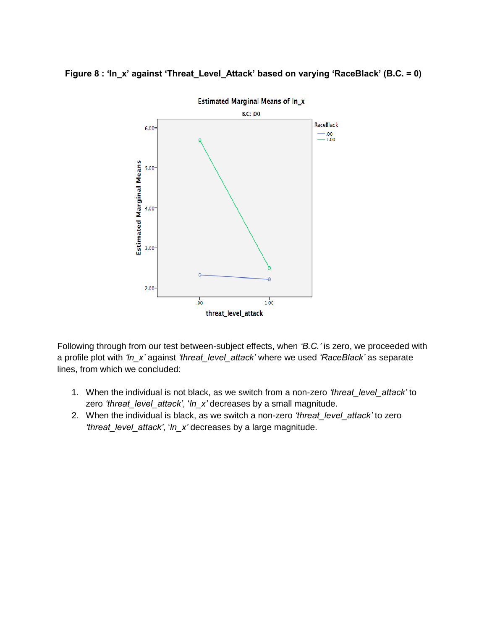### **Figure 8 : 'ln\_x' against 'Threat\_Level\_Attack' based on varying 'RaceBlack' (B.C. = 0)**



Following through from our test between-subject effects, when *'B.C.'* is zero, we proceeded with a profile plot with *'ln\_x'* against *'threat\_level\_attack'* where we used *'RaceBlack'* as separate lines, from which we concluded:

- 1. When the individual is not black, as we switch from a non-zero *'threat\_level\_attack'* to zero *'threat\_level\_attack'*, '*ln\_x'* decreases by a small magnitude.
- 2. When the individual is black, as we switch a non-zero *'threat\_level\_attack'* to zero *'threat\_level\_attack'*, '*ln\_x'* decreases by a large magnitude.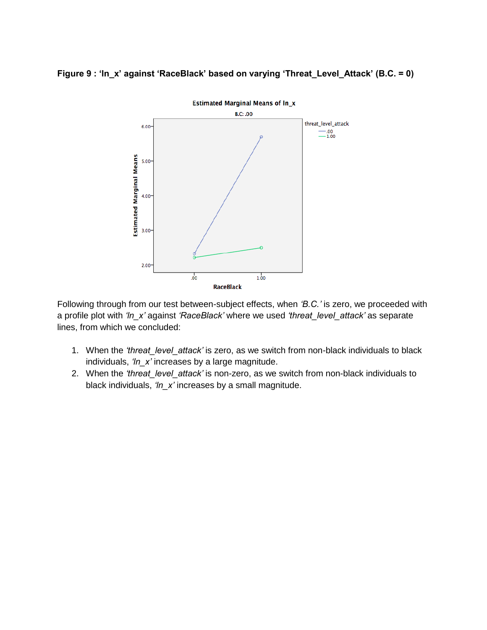**Figure 9 : 'ln\_x' against 'RaceBlack' based on varying 'Threat\_Level\_Attack' (B.C. = 0)**



Following through from our test between-subject effects, when *'B.C.'* is zero, we proceeded with a profile plot with *'ln\_x'* against *'RaceBlack'* where we used *'threat\_level\_attack'* as separate lines, from which we concluded:

- 1. When the *'threat\_level\_attack'* is zero, as we switch from non-black individuals to black individuals, *'ln\_x'* increases by a large magnitude.
- 2. When the *'threat\_level\_attack'* is non-zero, as we switch from non-black individuals to black individuals, *'ln\_x'* increases by a small magnitude.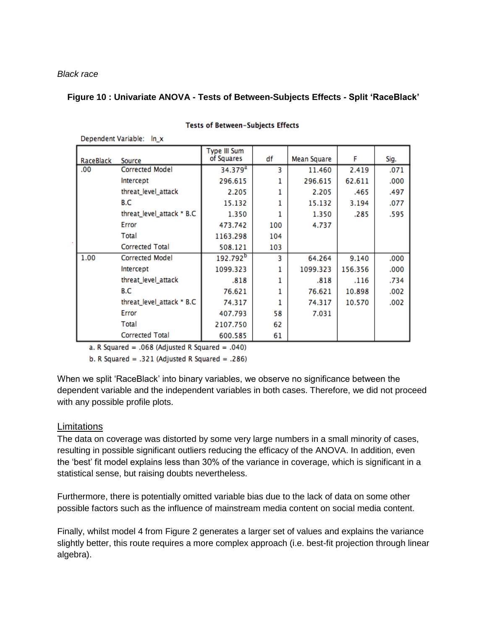*Black race*

Denendent Variable: In x

#### **Figure 10 : Univariate ANOVA - Tests of Between-Subjects Effects - Split 'RaceBlack'**

| RaceBlack | Source                    | Type III Sum<br>of Squares | df  | Mean Square | F       | Sig. |
|-----------|---------------------------|----------------------------|-----|-------------|---------|------|
| .00       | <b>Corrected Model</b>    | 34.379 <sup>a</sup>        | з   | 11.460      | 2.419   | .071 |
|           | Intercept                 | 296.615                    |     | 296.615     | 62.611  | .000 |
|           | threat_level_attack       | 2.205                      |     | 2.205       | .465    | .497 |
|           | B.C                       | 15.132                     |     | 15.132      | 3.194   | .077 |
|           | threat_level_attack * B.C | 1.350                      |     | 1.350       | .285    | .595 |
|           | Error                     | 473.742                    | 100 | 4.737       |         |      |
|           | Total                     | 1163.298                   | 104 |             |         |      |
|           | <b>Corrected Total</b>    | 508.121                    | 103 |             |         |      |
| 1.00      | Corrected Model           | 192.792 <sup>b</sup>       | 3   | 64.264      | 9.140   | .000 |
|           | Intercept                 | 1099.323                   |     | 1099.323    | 156.356 | .000 |
|           | threat_level_attack       | .818                       |     | .818        | .116    | .734 |
|           | B.C                       | 76.621                     |     | 76.621      | 10.898  | .002 |
|           | threat_level_attack * B.C | 74.317                     |     | 74.317      | 10.570  | .002 |
|           | Error                     | 407.793                    | 58  | 7.031       |         |      |
|           | Total                     | 2107.750                   | 62  |             |         |      |
|           | <b>Corrected Total</b>    | 600.585                    | 61  |             |         |      |

#### **Tests of Between-Subjects Effects**

a. R Squared = .068 (Adjusted R Squared = .040)

b. R Squared = .321 (Adjusted R Squared = .286)

When we split 'RaceBlack' into binary variables, we observe no significance between the dependent variable and the independent variables in both cases. Therefore, we did not proceed with any possible profile plots.

### **Limitations**

The data on coverage was distorted by some very large numbers in a small minority of cases, resulting in possible significant outliers reducing the efficacy of the ANOVA. In addition, even the 'best' fit model explains less than 30% of the variance in coverage, which is significant in a statistical sense, but raising doubts nevertheless.

Furthermore, there is potentially omitted variable bias due to the lack of data on some other possible factors such as the influence of mainstream media content on social media content.

Finally, whilst model 4 from Figure 2 generates a larger set of values and explains the variance slightly better, this route requires a more complex approach (i.e. best-fit projection through linear algebra).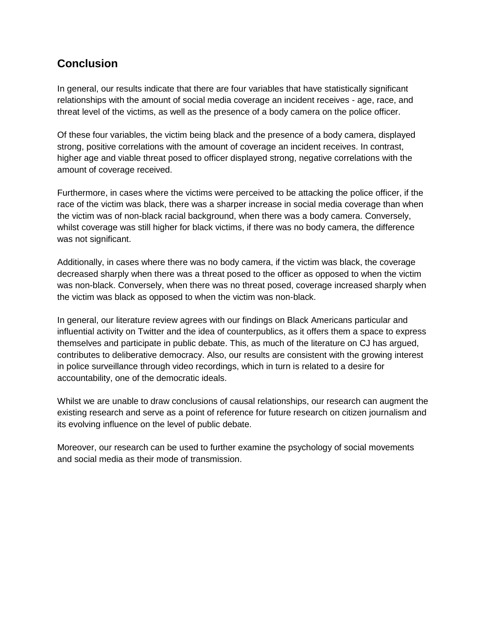# **Conclusion**

In general, our results indicate that there are four variables that have statistically significant relationships with the amount of social media coverage an incident receives - age, race, and threat level of the victims, as well as the presence of a body camera on the police officer.

Of these four variables, the victim being black and the presence of a body camera, displayed strong, positive correlations with the amount of coverage an incident receives. In contrast, higher age and viable threat posed to officer displayed strong, negative correlations with the amount of coverage received.

Furthermore, in cases where the victims were perceived to be attacking the police officer, if the race of the victim was black, there was a sharper increase in social media coverage than when the victim was of non-black racial background, when there was a body camera. Conversely, whilst coverage was still higher for black victims, if there was no body camera, the difference was not significant.

Additionally, in cases where there was no body camera, if the victim was black, the coverage decreased sharply when there was a threat posed to the officer as opposed to when the victim was non-black. Conversely, when there was no threat posed, coverage increased sharply when the victim was black as opposed to when the victim was non-black.

In general, our literature review agrees with our findings on Black Americans particular and influential activity on Twitter and the idea of counterpublics, as it offers them a space to express themselves and participate in public debate. This, as much of the literature on CJ has argued, contributes to deliberative democracy. Also, our results are consistent with the growing interest in police surveillance through video recordings, which in turn is related to a desire for accountability, one of the democratic ideals.

Whilst we are unable to draw conclusions of causal relationships, our research can augment the existing research and serve as a point of reference for future research on citizen journalism and its evolving influence on the level of public debate.

Moreover, our research can be used to further examine the psychology of social movements and social media as their mode of transmission.